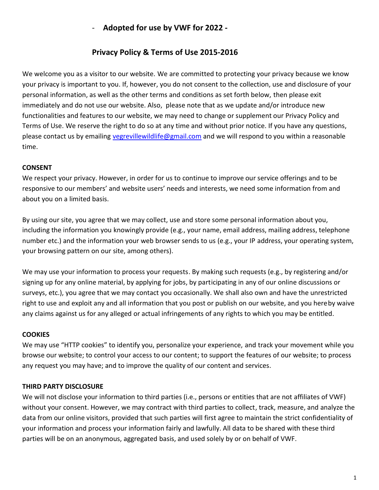# - **Adopted for use by VWF for 2022 -**

# **Privacy Policy & Terms of Use 2015-2016**

We welcome you as a visitor to our website. We are committed to protecting your privacy because we know your privacy is important to you. If, however, you do not consent to the collection, use and disclosure of your personal information, as well as the other terms and conditions as set forth below, then please exit immediately and do not use our website. Also, please note that as we update and/or introduce new functionalities and features to our website, we may need to change or supplement our Privacy Policy and Terms of Use. We reserve the right to do so at any time and without prior notice. If you have any questions, please contact us by emailing [vegrevillewildlife@gmail.com](mailto:vegrevillewildlife@gmail.com) and we will respond to you within a reasonable time.

## **CONSENT**

We respect your privacy. However, in order for us to continue to improve our service offerings and to be responsive to our members' and website users' needs and interests, we need some information from and about you on a limited basis.

By using our site, you agree that we may collect, use and store some personal information about you, including the information you knowingly provide (e.g., your name, email address, mailing address, telephone number etc.) and the information your web browser sends to us (e.g., your IP address, your operating system, your browsing pattern on our site, among others).

We may use your information to process your requests. By making such requests (e.g., by registering and/or signing up for any online material, by applying for jobs, by participating in any of our online discussions or surveys, etc.), you agree that we may contact you occasionally. We shall also own and have the unrestricted right to use and exploit any and all information that you post or publish on our website, and you hereby waive any claims against us for any alleged or actual infringements of any rights to which you may be entitled.

## **COOKIES**

We may use "HTTP cookies" to identify you, personalize your experience, and track your movement while you browse our website; to control your access to our content; to support the features of our website; to process any request you may have; and to improve the quality of our content and services.

## **THIRD PARTY DISCLOSURE**

We will not disclose your information to third parties (i.e., persons or entities that are not affiliates of VWF) without your consent. However, we may contract with third parties to collect, track, measure, and analyze the data from our online visitors, provided that such parties will first agree to maintain the strict confidentiality of your information and process your information fairly and lawfully. All data to be shared with these third parties will be on an anonymous, aggregated basis, and used solely by or on behalf of VWF.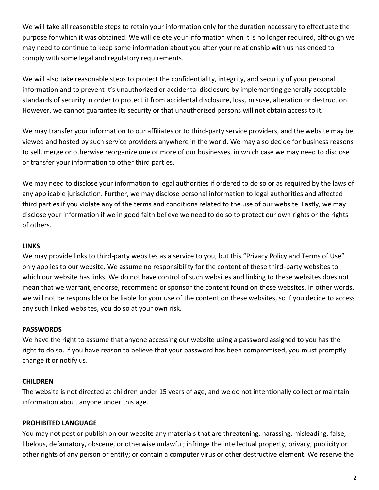We will take all reasonable steps to retain your information only for the duration necessary to effectuate the purpose for which it was obtained. We will delete your information when it is no longer required, although we may need to continue to keep some information about you after your relationship with us has ended to comply with some legal and regulatory requirements.

We will also take reasonable steps to protect the confidentiality, integrity, and security of your personal information and to prevent it's unauthorized or accidental disclosure by implementing generally acceptable standards of security in order to protect it from accidental disclosure, loss, misuse, alteration or destruction. However, we cannot guarantee its security or that unauthorized persons will not obtain access to it.

We may transfer your information to our affiliates or to third-party service providers, and the website may be viewed and hosted by such service providers anywhere in the world. We may also decide for business reasons to sell, merge or otherwise reorganize one or more of our businesses, in which case we may need to disclose or transfer your information to other third parties.

We may need to disclose your information to legal authorities if ordered to do so or as required by the laws of any applicable jurisdiction. Further, we may disclose personal information to legal authorities and affected third parties if you violate any of the terms and conditions related to the use of our website. Lastly, we may disclose your information if we in good faith believe we need to do so to protect our own rights or the rights of others.

#### **LINKS**

We may provide links to third-party websites as a service to you, but this "Privacy Policy and Terms of Use" only applies to our website. We assume no responsibility for the content of these third-party websites to which our website has links. We do not have control of such websites and linking to these websites does not mean that we warrant, endorse, recommend or sponsor the content found on these websites. In other words, we will not be responsible or be liable for your use of the content on these websites, so if you decide to access any such linked websites, you do so at your own risk.

#### **PASSWORDS**

We have the right to assume that anyone accessing our website using a password assigned to you has the right to do so. If you have reason to believe that your password has been compromised, you must promptly change it or notify us.

## **CHILDREN**

The website is not directed at children under 15 years of age, and we do not intentionally collect or maintain information about anyone under this age.

## **PROHIBITED LANGUAGE**

You may not post or publish on our website any materials that are threatening, harassing, misleading, false, libelous, defamatory, obscene, or otherwise unlawful; infringe the intellectual property, privacy, publicity or other rights of any person or entity; or contain a computer virus or other destructive element. We reserve the